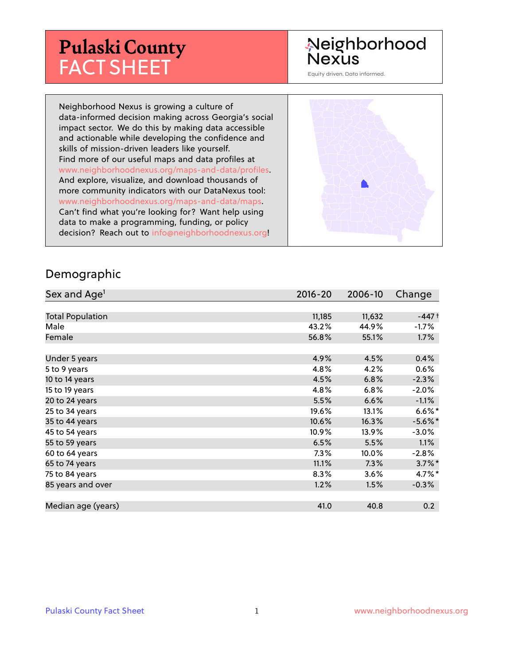# **Pulaski County** FACT SHEET

# Neighborhood Nexus

Equity driven. Data informed.

Neighborhood Nexus is growing a culture of data-informed decision making across Georgia's social impact sector. We do this by making data accessible and actionable while developing the confidence and skills of mission-driven leaders like yourself. Find more of our useful maps and data profiles at www.neighborhoodnexus.org/maps-and-data/profiles. And explore, visualize, and download thousands of more community indicators with our DataNexus tool: www.neighborhoodnexus.org/maps-and-data/maps. Can't find what you're looking for? Want help using data to make a programming, funding, or policy decision? Reach out to [info@neighborhoodnexus.org!](mailto:info@neighborhoodnexus.org)



#### Demographic

| Sex and Age <sup>1</sup> | $2016 - 20$ | 2006-10 | Change               |
|--------------------------|-------------|---------|----------------------|
|                          |             |         |                      |
| <b>Total Population</b>  | 11,185      | 11,632  | $-447+$              |
| Male                     | 43.2%       | 44.9%   | $-1.7\%$             |
| Female                   | 56.8%       | 55.1%   | $1.7\%$              |
|                          |             |         |                      |
| Under 5 years            | 4.9%        | 4.5%    | 0.4%                 |
| 5 to 9 years             | 4.8%        | 4.2%    | $0.6\%$              |
| 10 to 14 years           | 4.5%        | 6.8%    | $-2.3%$              |
| 15 to 19 years           | 4.8%        | 6.8%    | $-2.0%$              |
| 20 to 24 years           | 5.5%        | 6.6%    | $-1.1%$              |
| 25 to 34 years           | 19.6%       | 13.1%   | $6.6\%$ *            |
| 35 to 44 years           | 10.6%       | 16.3%   | $-5.6\%$ *           |
| 45 to 54 years           | 10.9%       | 13.9%   | $-3.0\%$             |
| 55 to 59 years           | 6.5%        | 5.5%    | 1.1%                 |
| 60 to 64 years           | $7.3\%$     | 10.0%   | $-2.8%$              |
| 65 to 74 years           | 11.1%       | 7.3%    | $3.7\%$ <sup>*</sup> |
| 75 to 84 years           | 8.3%        | 3.6%    | 4.7%*                |
| 85 years and over        | 1.2%        | 1.5%    | $-0.3%$              |
|                          |             |         |                      |
| Median age (years)       | 41.0        | 40.8    | 0.2                  |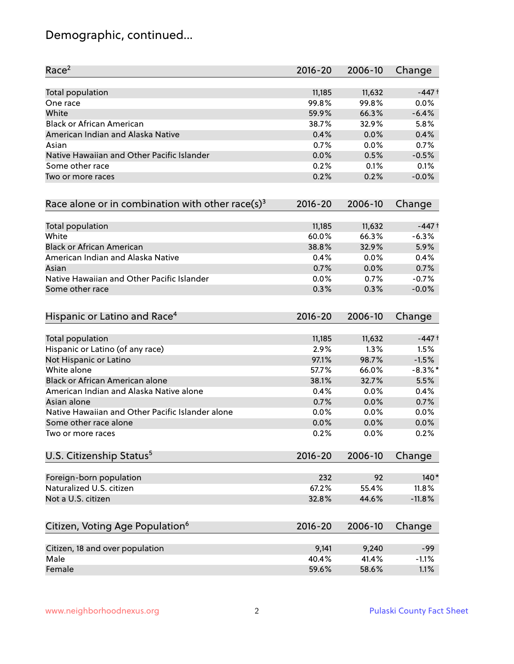# Demographic, continued...

| Race <sup>2</sup>                                            | $2016 - 20$ | 2006-10 | Change     |
|--------------------------------------------------------------|-------------|---------|------------|
| <b>Total population</b>                                      | 11,185      | 11,632  | $-447+$    |
| One race                                                     | 99.8%       | 99.8%   | 0.0%       |
| White                                                        | 59.9%       | 66.3%   | $-6.4%$    |
| <b>Black or African American</b>                             | 38.7%       | 32.9%   | 5.8%       |
| American Indian and Alaska Native                            | 0.4%        | 0.0%    | 0.4%       |
| Asian                                                        | 0.7%        | 0.0%    | 0.7%       |
| Native Hawaiian and Other Pacific Islander                   | 0.0%        | 0.5%    | $-0.5%$    |
| Some other race                                              | 0.2%        | 0.1%    | 0.1%       |
| Two or more races                                            | 0.2%        | 0.2%    | $-0.0%$    |
| Race alone or in combination with other race(s) <sup>3</sup> | $2016 - 20$ | 2006-10 | Change     |
| Total population                                             | 11,185      | 11,632  | $-447+$    |
| White                                                        | 60.0%       | 66.3%   | $-6.3%$    |
| <b>Black or African American</b>                             | 38.8%       | 32.9%   | 5.9%       |
| American Indian and Alaska Native                            | 0.4%        | 0.0%    | 0.4%       |
| Asian                                                        | 0.7%        | 0.0%    | 0.7%       |
| Native Hawaiian and Other Pacific Islander                   | 0.0%        | 0.7%    | $-0.7%$    |
| Some other race                                              | 0.3%        | 0.3%    | $-0.0%$    |
| Hispanic or Latino and Race <sup>4</sup>                     | $2016 - 20$ | 2006-10 | Change     |
| <b>Total population</b>                                      | 11,185      | 11,632  | $-447+$    |
| Hispanic or Latino (of any race)                             | 2.9%        | 1.3%    | 1.5%       |
| Not Hispanic or Latino                                       | 97.1%       | 98.7%   | $-1.5%$    |
| White alone                                                  | 57.7%       | 66.0%   | $-8.3\%$ * |
| Black or African American alone                              | 38.1%       | 32.7%   | 5.5%       |
| American Indian and Alaska Native alone                      | 0.4%        | 0.0%    | 0.4%       |
| Asian alone                                                  | 0.7%        | 0.0%    | 0.7%       |
| Native Hawaiian and Other Pacific Islander alone             | 0.0%        | 0.0%    | 0.0%       |
| Some other race alone                                        | 0.0%        | 0.0%    | 0.0%       |
| Two or more races                                            | 0.2%        | 0.0%    | 0.2%       |
| U.S. Citizenship Status <sup>5</sup>                         | $2016 - 20$ | 2006-10 | Change     |
| Foreign-born population                                      | 232         | 92      | $140*$     |
| Naturalized U.S. citizen                                     | 67.2%       | 55.4%   | 11.8%      |
| Not a U.S. citizen                                           | 32.8%       | 44.6%   | $-11.8%$   |
| Citizen, Voting Age Population <sup>6</sup>                  | $2016 - 20$ | 2006-10 | Change     |
| Citizen, 18 and over population                              | 9,141       | 9,240   | $-99$      |
| Male                                                         | 40.4%       | 41.4%   | $-1.1%$    |
| Female                                                       | 59.6%       | 58.6%   | 1.1%       |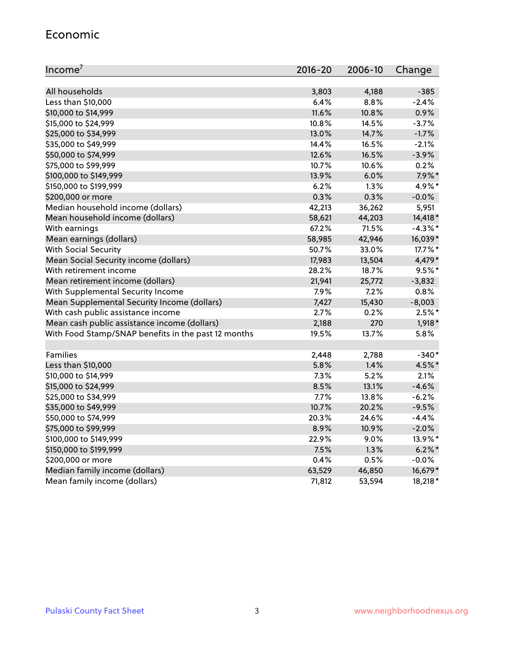#### Economic

| Income <sup>7</sup>                                 | $2016 - 20$ | 2006-10 | Change     |
|-----------------------------------------------------|-------------|---------|------------|
|                                                     |             |         |            |
| All households                                      | 3,803       | 4,188   | $-385$     |
| Less than \$10,000                                  | 6.4%        | 8.8%    | $-2.4%$    |
| \$10,000 to \$14,999                                | 11.6%       | 10.8%   | 0.9%       |
| \$15,000 to \$24,999                                | 10.8%       | 14.5%   | $-3.7%$    |
| \$25,000 to \$34,999                                | 13.0%       | 14.7%   | $-1.7%$    |
| \$35,000 to \$49,999                                | 14.4%       | 16.5%   | $-2.1%$    |
| \$50,000 to \$74,999                                | 12.6%       | 16.5%   | $-3.9%$    |
| \$75,000 to \$99,999                                | 10.7%       | 10.6%   | 0.2%       |
| \$100,000 to \$149,999                              | 13.9%       | 6.0%    | $7.9\%$ *  |
| \$150,000 to \$199,999                              | 6.2%        | 1.3%    | 4.9%*      |
| \$200,000 or more                                   | 0.3%        | 0.3%    | $-0.0%$    |
| Median household income (dollars)                   | 42,213      | 36,262  | 5,951      |
| Mean household income (dollars)                     | 58,621      | 44,203  | 14,418 *   |
| With earnings                                       | 67.2%       | 71.5%   | $-4.3\%$ * |
| Mean earnings (dollars)                             | 58,985      | 42,946  | 16,039*    |
| <b>With Social Security</b>                         | 50.7%       | 33.0%   | 17.7%*     |
| Mean Social Security income (dollars)               | 17,983      | 13,504  | 4,479*     |
| With retirement income                              | 28.2%       | 18.7%   | $9.5%$ *   |
| Mean retirement income (dollars)                    | 21,941      | 25,772  | $-3,832$   |
| With Supplemental Security Income                   | 7.9%        | 7.2%    | 0.8%       |
| Mean Supplemental Security Income (dollars)         | 7,427       | 15,430  | $-8,003$   |
| With cash public assistance income                  | 2.7%        | 0.2%    | $2.5%$ *   |
| Mean cash public assistance income (dollars)        | 2,188       | 270     | $1,918*$   |
| With Food Stamp/SNAP benefits in the past 12 months | 19.5%       | 13.7%   | 5.8%       |
|                                                     |             |         |            |
| Families                                            | 2,448       | 2,788   | $-340*$    |
| Less than \$10,000                                  | $5.8\%$     | 1.4%    | 4.5%*      |
| \$10,000 to \$14,999                                | 7.3%        | 5.2%    | 2.1%       |
| \$15,000 to \$24,999                                | 8.5%        | 13.1%   | $-4.6%$    |
| \$25,000 to \$34,999                                | 7.7%        | 13.8%   | $-6.2%$    |
| \$35,000 to \$49,999                                | 10.7%       | 20.2%   | $-9.5%$    |
| \$50,000 to \$74,999                                | 20.3%       | 24.6%   | $-4.4%$    |
| \$75,000 to \$99,999                                | 8.9%        | 10.9%   | $-2.0%$    |
| \$100,000 to \$149,999                              | 22.9%       | 9.0%    | 13.9%*     |
| \$150,000 to \$199,999                              | 7.5%        | 1.3%    | $6.2\%$ *  |
| \$200,000 or more                                   | 0.4%        | 0.5%    | $-0.0%$    |
| Median family income (dollars)                      | 63,529      | 46,850  | 16,679*    |
| Mean family income (dollars)                        | 71,812      | 53,594  | 18,218 *   |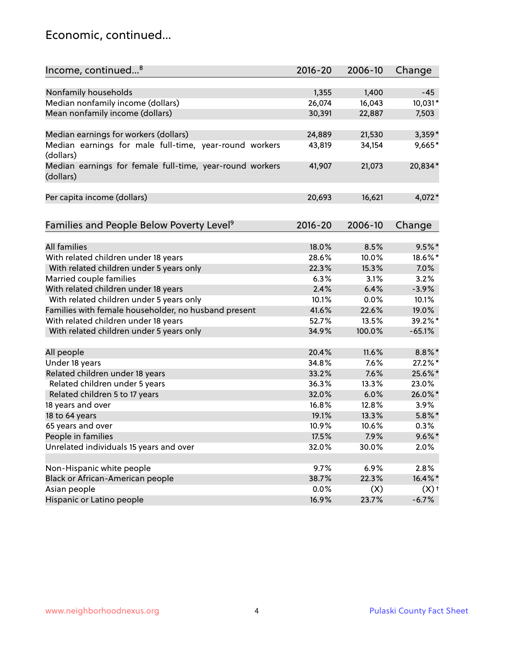### Economic, continued...

| Income, continued <sup>8</sup>                                        | $2016 - 20$ | 2006-10 | Change             |
|-----------------------------------------------------------------------|-------------|---------|--------------------|
|                                                                       |             |         |                    |
| Nonfamily households                                                  | 1,355       | 1,400   | $-45$              |
| Median nonfamily income (dollars)                                     | 26,074      | 16,043  | 10,031*            |
| Mean nonfamily income (dollars)                                       | 30,391      | 22,887  | 7,503              |
| Median earnings for workers (dollars)                                 | 24,889      | 21,530  | $3,359*$           |
| Median earnings for male full-time, year-round workers                | 43,819      | 34,154  | 9,665*             |
| (dollars)                                                             |             |         |                    |
| Median earnings for female full-time, year-round workers<br>(dollars) | 41,907      | 21,073  | 20,834*            |
| Per capita income (dollars)                                           | 20,693      | 16,621  | 4,072*             |
|                                                                       |             |         |                    |
| Families and People Below Poverty Level <sup>9</sup>                  | $2016 - 20$ | 2006-10 | Change             |
| <b>All families</b>                                                   |             |         |                    |
|                                                                       | 18.0%       | 8.5%    | $9.5%$ *           |
| With related children under 18 years                                  | 28.6%       | 10.0%   | 18.6%*             |
| With related children under 5 years only                              | 22.3%       | 15.3%   | 7.0%               |
| Married couple families                                               | 6.3%        | 3.1%    | 3.2%               |
| With related children under 18 years                                  | 2.4%        | 6.4%    | $-3.9%$            |
| With related children under 5 years only                              | 10.1%       | 0.0%    | 10.1%              |
| Families with female householder, no husband present                  | 41.6%       | 22.6%   | 19.0%              |
| With related children under 18 years                                  | 52.7%       | 13.5%   | 39.2%*             |
| With related children under 5 years only                              | 34.9%       | 100.0%  | $-65.1%$           |
| All people                                                            | 20.4%       | 11.6%   | $8.8\%$ *          |
| Under 18 years                                                        | 34.8%       | 7.6%    | 27.2%*             |
| Related children under 18 years                                       | 33.2%       | 7.6%    | 25.6%*             |
| Related children under 5 years                                        | 36.3%       | 13.3%   | 23.0%              |
| Related children 5 to 17 years                                        | 32.0%       | 6.0%    | 26.0%*             |
| 18 years and over                                                     | 16.8%       | 12.8%   | 3.9%               |
| 18 to 64 years                                                        | 19.1%       | 13.3%   | $5.8\%$ *          |
| 65 years and over                                                     | 10.9%       | 10.6%   | 0.3%               |
| People in families                                                    | 17.5%       | 7.9%    | $9.6\%$ *          |
| Unrelated individuals 15 years and over                               | 32.0%       | 30.0%   | 2.0%               |
|                                                                       |             |         |                    |
| Non-Hispanic white people                                             | 9.7%        | 6.9%    | 2.8%               |
| Black or African-American people                                      | 38.7%       | 22.3%   | 16.4%*             |
| Asian people                                                          | 0.0%        | (X)     | $(X)$ <sup>+</sup> |
| Hispanic or Latino people                                             | 16.9%       | 23.7%   | $-6.7%$            |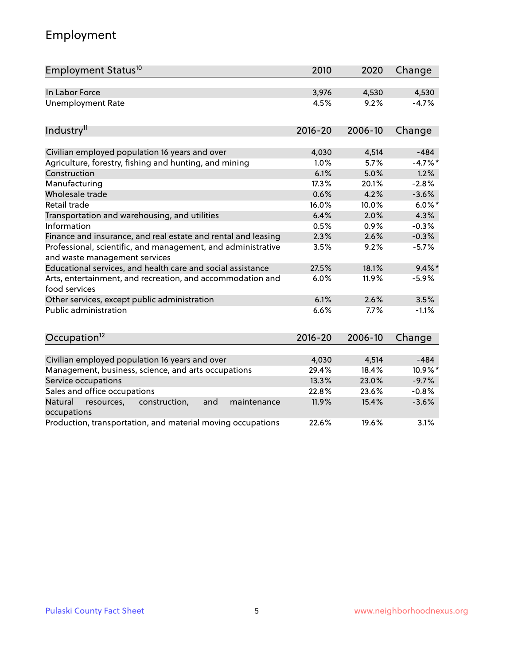# Employment

| Employment Status <sup>10</sup>                                                               | 2010        | 2020    | Change    |
|-----------------------------------------------------------------------------------------------|-------------|---------|-----------|
| In Labor Force                                                                                | 3,976       | 4,530   | 4,530     |
| <b>Unemployment Rate</b>                                                                      | 4.5%        | 9.2%    | $-4.7%$   |
| Industry <sup>11</sup>                                                                        | $2016 - 20$ | 2006-10 | Change    |
|                                                                                               |             |         |           |
| Civilian employed population 16 years and over                                                | 4,030       | 4,514   | $-484$    |
| Agriculture, forestry, fishing and hunting, and mining                                        | 1.0%        | 5.7%    | $-4.7%$ * |
| Construction                                                                                  | 6.1%        | 5.0%    | 1.2%      |
| Manufacturing                                                                                 | 17.3%       | 20.1%   | $-2.8%$   |
| Wholesale trade                                                                               | 0.6%        | 4.2%    | $-3.6%$   |
| Retail trade                                                                                  | 16.0%       | 10.0%   | $6.0\%$ * |
| Transportation and warehousing, and utilities                                                 | 6.4%        | 2.0%    | 4.3%      |
| Information                                                                                   | 0.5%        | 0.9%    | $-0.3%$   |
| Finance and insurance, and real estate and rental and leasing                                 | 2.3%        | 2.6%    | $-0.3%$   |
| Professional, scientific, and management, and administrative<br>and waste management services | 3.5%        | 9.2%    | $-5.7%$   |
| Educational services, and health care and social assistance                                   | 27.5%       | 18.1%   | $9.4\%$ * |
| Arts, entertainment, and recreation, and accommodation and<br>food services                   | 6.0%        | 11.9%   | $-5.9%$   |
| Other services, except public administration                                                  | 6.1%        | 2.6%    | 3.5%      |
| <b>Public administration</b>                                                                  | 6.6%        | 7.7%    | $-1.1%$   |
| Occupation <sup>12</sup>                                                                      | $2016 - 20$ | 2006-10 | Change    |
|                                                                                               |             |         |           |
| Civilian employed population 16 years and over                                                | 4,030       | 4,514   | $-484$    |
| Management, business, science, and arts occupations                                           | 29.4%       | 18.4%   | 10.9%*    |
| Service occupations                                                                           | 13.3%       | 23.0%   | $-9.7%$   |
| Sales and office occupations                                                                  | 22.8%       | 23.6%   | $-0.8%$   |
| Natural<br>resources,<br>construction,<br>and<br>maintenance<br>occupations                   | 11.9%       | 15.4%   | $-3.6%$   |
| Production, transportation, and material moving occupations                                   | 22.6%       | 19.6%   | 3.1%      |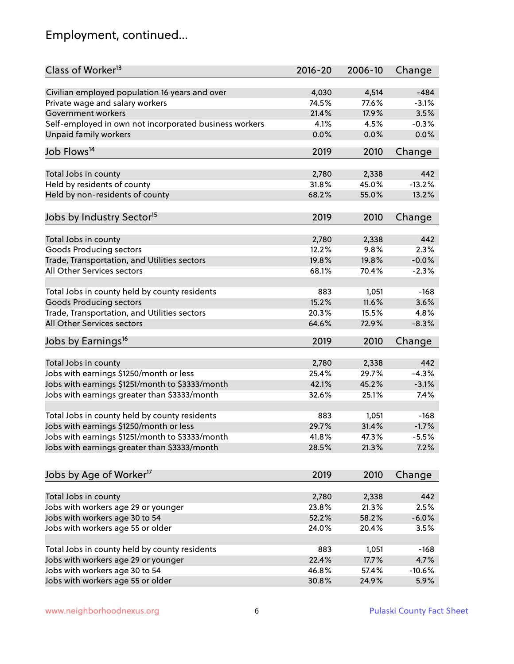# Employment, continued...

| Class of Worker <sup>13</sup>                          | $2016 - 20$    | 2006-10 | Change   |
|--------------------------------------------------------|----------------|---------|----------|
| Civilian employed population 16 years and over         | 4,030          | 4,514   | $-484$   |
| Private wage and salary workers                        | 74.5%          | 77.6%   | $-3.1%$  |
| Government workers                                     | 21.4%          | 17.9%   | 3.5%     |
| Self-employed in own not incorporated business workers | 4.1%           | 4.5%    | $-0.3%$  |
| Unpaid family workers                                  | 0.0%           | 0.0%    | 0.0%     |
|                                                        |                |         |          |
| Job Flows <sup>14</sup>                                | 2019           | 2010    | Change   |
| Total Jobs in county                                   | 2,780          | 2,338   | 442      |
| Held by residents of county                            | 31.8%          | 45.0%   | $-13.2%$ |
| Held by non-residents of county                        | 68.2%          | 55.0%   | 13.2%    |
|                                                        |                |         |          |
| Jobs by Industry Sector <sup>15</sup>                  | 2019           | 2010    | Change   |
| Total Jobs in county                                   | 2,780          | 2,338   | 442      |
| Goods Producing sectors                                | 12.2%          | 9.8%    | 2.3%     |
| Trade, Transportation, and Utilities sectors           | 19.8%          | 19.8%   | $-0.0%$  |
| All Other Services sectors                             | 68.1%          | 70.4%   | $-2.3%$  |
|                                                        |                |         |          |
| Total Jobs in county held by county residents          | 883            | 1,051   | $-168$   |
| <b>Goods Producing sectors</b>                         | 15.2%          | 11.6%   | 3.6%     |
| Trade, Transportation, and Utilities sectors           | 20.3%          | 15.5%   | 4.8%     |
| All Other Services sectors                             | 64.6%          | 72.9%   | $-8.3%$  |
| Jobs by Earnings <sup>16</sup>                         | 2019           | 2010    | Change   |
|                                                        |                |         |          |
| Total Jobs in county                                   | 2,780          | 2,338   | 442      |
| Jobs with earnings \$1250/month or less                | 25.4%          | 29.7%   | $-4.3%$  |
| Jobs with earnings \$1251/month to \$3333/month        | 42.1%          | 45.2%   | $-3.1%$  |
| Jobs with earnings greater than \$3333/month           | 32.6%          | 25.1%   | 7.4%     |
| Total Jobs in county held by county residents          | 883            | 1,051   | $-168$   |
| Jobs with earnings \$1250/month or less                | 29.7%          | 31.4%   | $-1.7%$  |
| Jobs with earnings \$1251/month to \$3333/month        | 41.8%          | 47.3%   | $-5.5\%$ |
| Jobs with earnings greater than \$3333/month           | 28.5%          | 21.3%   | 7.2%     |
|                                                        |                |         |          |
| Jobs by Age of Worker <sup>17</sup>                    | 2019           | 2010    | Change   |
|                                                        |                |         | 442      |
| Total Jobs in county                                   | 2,780          | 2,338   |          |
| Jobs with workers age 29 or younger                    | 23.8%<br>52.2% | 21.3%   | 2.5%     |
| Jobs with workers age 30 to 54                         |                | 58.2%   | $-6.0%$  |
| Jobs with workers age 55 or older                      | 24.0%          | 20.4%   | 3.5%     |
| Total Jobs in county held by county residents          | 883            | 1,051   | $-168$   |
| Jobs with workers age 29 or younger                    | 22.4%          | 17.7%   | 4.7%     |
| Jobs with workers age 30 to 54                         | 46.8%          | 57.4%   | $-10.6%$ |
| Jobs with workers age 55 or older                      | 30.8%          | 24.9%   | 5.9%     |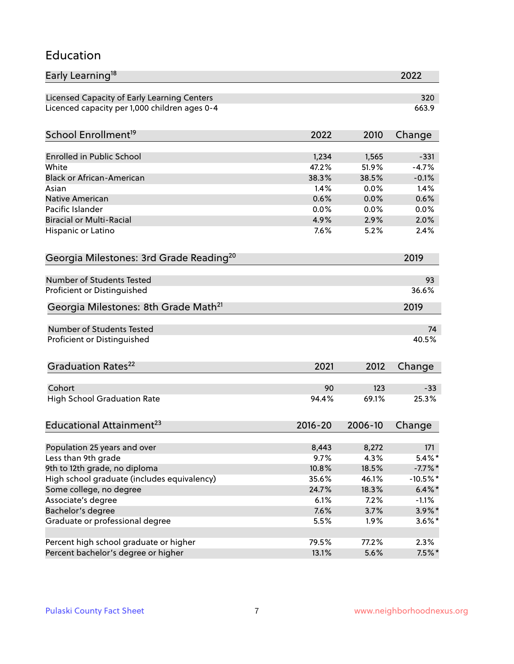#### Education

| Early Learning <sup>18</sup>                        |             |         | 2022        |
|-----------------------------------------------------|-------------|---------|-------------|
| Licensed Capacity of Early Learning Centers         |             |         | 320         |
| Licenced capacity per 1,000 children ages 0-4       |             |         | 663.9       |
| School Enrollment <sup>19</sup>                     | 2022        | 2010    | Change      |
|                                                     |             |         |             |
| <b>Enrolled in Public School</b>                    | 1,234       | 1,565   | $-331$      |
| White                                               | 47.2%       | 51.9%   | $-4.7%$     |
| <b>Black or African-American</b>                    | 38.3%       | 38.5%   | $-0.1%$     |
| Asian                                               | 1.4%        | 0.0%    | 1.4%        |
| <b>Native American</b>                              | 0.6%        | 0.0%    | 0.6%        |
| Pacific Islander                                    | 0.0%        | 0.0%    | 0.0%        |
| <b>Biracial or Multi-Racial</b>                     | 4.9%        | 2.9%    | 2.0%        |
| Hispanic or Latino                                  | 7.6%        | 5.2%    | 2.4%        |
| Georgia Milestones: 3rd Grade Reading <sup>20</sup> |             |         | 2019        |
|                                                     |             |         |             |
| Number of Students Tested                           |             |         | 93          |
| Proficient or Distinguished                         |             |         | 36.6%       |
| Georgia Milestones: 8th Grade Math <sup>21</sup>    |             |         | 2019        |
| <b>Number of Students Tested</b>                    |             |         | 74          |
| Proficient or Distinguished                         |             |         | 40.5%       |
| Graduation Rates <sup>22</sup>                      | 2021        | 2012    | Change      |
| Cohort                                              | 90          | 123     | $-33$       |
| <b>High School Graduation Rate</b>                  | 94.4%       | 69.1%   | 25.3%       |
|                                                     |             |         |             |
| Educational Attainment <sup>23</sup>                | $2016 - 20$ | 2006-10 | Change      |
| Population 25 years and over                        | 8,443       | 8,272   | 171         |
| Less than 9th grade                                 | 9.7%        | 4.3%    | $5.4\%*$    |
| 9th to 12th grade, no diploma                       | 10.8%       | 18.5%   | $-7.7\%$ *  |
| High school graduate (includes equivalency)         | 35.6%       | 46.1%   | $-10.5\%$ * |
| Some college, no degree                             | 24.7%       | 18.3%   | $6.4\% *$   |
| Associate's degree                                  | 6.1%        | 7.2%    | $-1.1%$     |
| Bachelor's degree                                   | 7.6%        | 3.7%    |             |
|                                                     |             |         | $3.9\%$ *   |
| Graduate or professional degree                     | 5.5%        | 1.9%    | $3.6\%$ *   |
| Percent high school graduate or higher              | 79.5%       | 77.2%   | 2.3%        |
| Percent bachelor's degree or higher                 | 13.1%       | 5.6%    | $7.5\%$ *   |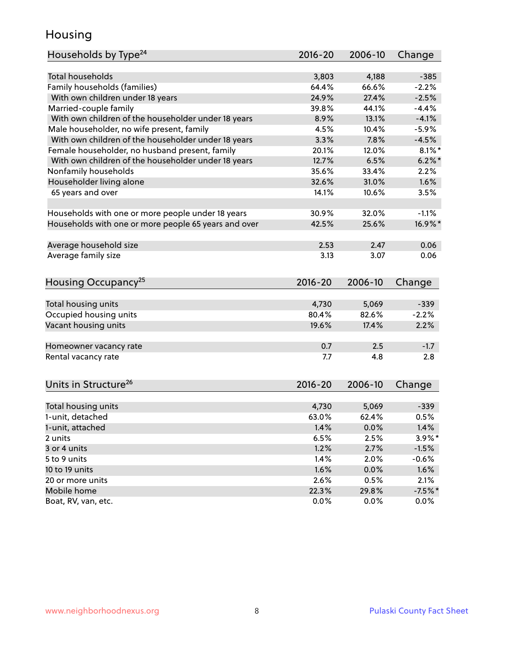### Housing

| Households by Type <sup>24</sup>                     | $2016 - 20$ | 2006-10 | Change    |
|------------------------------------------------------|-------------|---------|-----------|
|                                                      |             |         |           |
| <b>Total households</b>                              | 3,803       | 4,188   | $-385$    |
| Family households (families)                         | 64.4%       | 66.6%   | $-2.2%$   |
| With own children under 18 years                     | 24.9%       | 27.4%   | $-2.5%$   |
| Married-couple family                                | 39.8%       | 44.1%   | $-4.4%$   |
| With own children of the householder under 18 years  | 8.9%        | 13.1%   | $-4.1%$   |
| Male householder, no wife present, family            | 4.5%        | 10.4%   | $-5.9%$   |
| With own children of the householder under 18 years  | 3.3%        | 7.8%    | $-4.5%$   |
| Female householder, no husband present, family       | 20.1%       | 12.0%   | $8.1\%$ * |
| With own children of the householder under 18 years  | 12.7%       | 6.5%    | $6.2\%$ * |
| Nonfamily households                                 | 35.6%       | 33.4%   | 2.2%      |
| Householder living alone                             | 32.6%       | 31.0%   | 1.6%      |
| 65 years and over                                    | 14.1%       | 10.6%   | 3.5%      |
|                                                      |             |         |           |
| Households with one or more people under 18 years    | 30.9%       | 32.0%   | $-1.1%$   |
| Households with one or more people 65 years and over | 42.5%       | 25.6%   | 16.9%*    |
|                                                      |             |         |           |
| Average household size                               | 2.53        | 2.47    | 0.06      |
| Average family size                                  | 3.13        | 3.07    | 0.06      |
|                                                      |             |         |           |
| Housing Occupancy <sup>25</sup>                      | $2016 - 20$ | 2006-10 | Change    |
|                                                      |             |         |           |
| Total housing units                                  | 4,730       | 5,069   | $-339$    |
| Occupied housing units                               | 80.4%       | 82.6%   | $-2.2%$   |
| Vacant housing units                                 | 19.6%       | 17.4%   | 2.2%      |
|                                                      |             |         |           |
| Homeowner vacancy rate                               | 0.7         | 2.5     | $-1.7$    |
| Rental vacancy rate                                  | 7.7         | 4.8     | 2.8       |
|                                                      |             |         |           |
| Units in Structure <sup>26</sup>                     |             | 2006-10 |           |
|                                                      | $2016 - 20$ |         | Change    |
| Total housing units                                  | 4,730       | 5,069   | $-339$    |
| 1-unit, detached                                     | 63.0%       | 62.4%   | 0.5%      |
| 1-unit, attached                                     | 1.4%        | 0.0%    | 1.4%      |
| 2 units                                              | 6.5%        | 2.5%    | 3.9%*     |
| 3 or 4 units                                         | 1.2%        | 2.7%    | $-1.5%$   |
|                                                      | 1.4%        |         |           |
| 5 to 9 units                                         |             | 2.0%    | $-0.6%$   |
| 10 to 19 units                                       | 1.6%        | 0.0%    | 1.6%      |
| 20 or more units                                     | 2.6%        | 0.5%    | 2.1%      |
| Mobile home                                          | 22.3%       | 29.8%   | $-7.5%$ * |
| Boat, RV, van, etc.                                  | 0.0%        | 0.0%    | $0.0\%$   |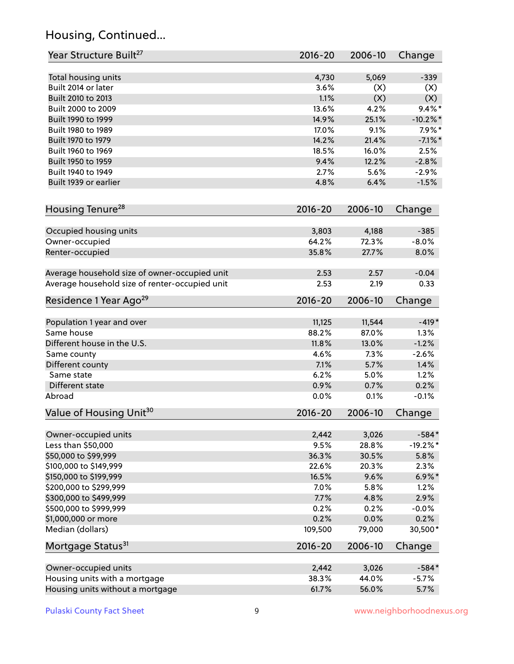# Housing, Continued...

| Year Structure Built <sup>27</sup>             | 2016-20         | 2006-10      | Change          |
|------------------------------------------------|-----------------|--------------|-----------------|
| Total housing units                            | 4,730           | 5,069        | $-339$          |
| Built 2014 or later                            | 3.6%            | (X)          | (X)             |
| Built 2010 to 2013                             | 1.1%            | (X)          | (X)             |
| Built 2000 to 2009                             | 13.6%           | 4.2%         | $9.4\%$ *       |
| Built 1990 to 1999                             | 14.9%           | 25.1%        | $-10.2\%$ *     |
| Built 1980 to 1989                             | 17.0%           | 9.1%         | $7.9\%$ *       |
| Built 1970 to 1979                             | 14.2%           | 21.4%        | $-7.1\%$ *      |
| Built 1960 to 1969                             | 18.5%           | 16.0%        | 2.5%            |
| Built 1950 to 1959                             | 9.4%            | 12.2%        | $-2.8%$         |
| Built 1940 to 1949                             | 2.7%            | 5.6%         | $-2.9%$         |
| Built 1939 or earlier                          | 4.8%            | 6.4%         | $-1.5%$         |
|                                                |                 |              |                 |
| Housing Tenure <sup>28</sup>                   | $2016 - 20$     | 2006-10      | Change          |
|                                                | 3,803           | 4,188        | $-385$          |
| Occupied housing units                         | 64.2%           | 72.3%        | $-8.0%$         |
| Owner-occupied<br>Renter-occupied              | 35.8%           | 27.7%        | 8.0%            |
|                                                |                 |              |                 |
| Average household size of owner-occupied unit  | 2.53            | 2.57         | $-0.04$         |
| Average household size of renter-occupied unit | 2.53            | 2.19         | 0.33            |
| Residence 1 Year Ago <sup>29</sup>             | 2016-20         | 2006-10      | Change          |
|                                                |                 |              |                 |
| Population 1 year and over                     | 11,125          | 11,544       | $-419*$         |
| Same house                                     | 88.2%           | 87.0%        | 1.3%            |
| Different house in the U.S.                    | 11.8%           | 13.0%        | $-1.2%$         |
| Same county                                    | 4.6%            | 7.3%         | $-2.6%$         |
| Different county                               | 7.1%            | 5.7%         | 1.4%            |
| Same state                                     | 6.2%            | 5.0%         | 1.2%            |
| Different state                                | 0.9%            | 0.7%         | 0.2%            |
| Abroad                                         | 0.0%            | 0.1%         | $-0.1%$         |
| Value of Housing Unit <sup>30</sup>            | 2016-20         | 2006-10      | Change          |
| Owner-occupied units                           | 2,442           | 3,026        | $-584*$         |
| Less than \$50,000                             | 9.5%            | 28.8%        | $-19.2\%$ *     |
| \$50,000 to \$99,999                           | 36.3%           | 30.5%        | 5.8%            |
| \$100,000 to \$149,999                         | 22.6%           | 20.3%        | 2.3%            |
| \$150,000 to \$199,999                         | 16.5%           | 9.6%         | $6.9\%$ *       |
| \$200,000 to \$299,999                         | 7.0%            |              |                 |
|                                                | 7.7%            | 5.8%<br>4.8% | 1.2%<br>2.9%    |
| \$300,000 to \$499,999                         |                 |              |                 |
| \$500,000 to \$999,999                         | 0.2%            | 0.2%<br>0.0% | $-0.0%$<br>0.2% |
| \$1,000,000 or more<br>Median (dollars)        | 0.2%<br>109,500 | 79,000       | 30,500*         |
|                                                |                 |              |                 |
| Mortgage Status <sup>31</sup>                  | $2016 - 20$     | 2006-10      | Change          |
| Owner-occupied units                           | 2,442           | 3,026        | $-584*$         |
| Housing units with a mortgage                  | 38.3%           | 44.0%        | $-5.7%$         |
| Housing units without a mortgage               | 61.7%           | 56.0%        | 5.7%            |
|                                                |                 |              |                 |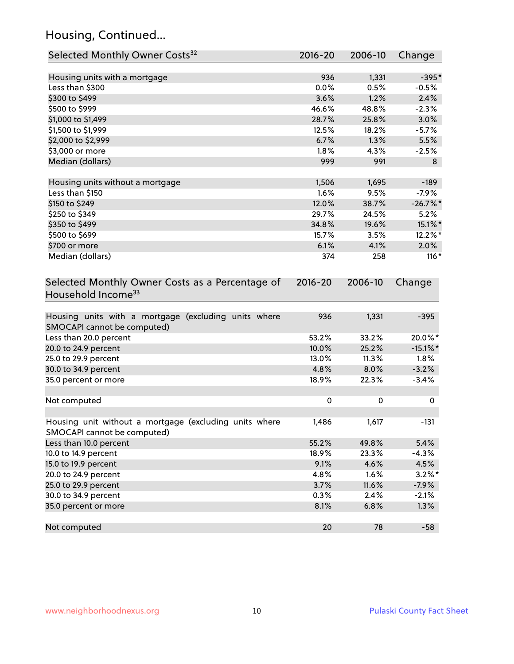# Housing, Continued...

| Selected Monthly Owner Costs <sup>32</sup>                                            | 2016-20     | 2006-10 | Change      |
|---------------------------------------------------------------------------------------|-------------|---------|-------------|
| Housing units with a mortgage                                                         | 936         | 1,331   | $-395*$     |
| Less than \$300                                                                       | 0.0%        | 0.5%    | $-0.5%$     |
| \$300 to \$499                                                                        | 3.6%        | 1.2%    | 2.4%        |
| \$500 to \$999                                                                        | 46.6%       | 48.8%   | $-2.3%$     |
| \$1,000 to \$1,499                                                                    | 28.7%       | 25.8%   | 3.0%        |
| \$1,500 to \$1,999                                                                    | 12.5%       | 18.2%   | $-5.7%$     |
| \$2,000 to \$2,999                                                                    | 6.7%        | 1.3%    | 5.5%        |
| \$3,000 or more                                                                       | 1.8%        | 4.3%    | $-2.5%$     |
| Median (dollars)                                                                      | 999         | 991     | 8           |
| Housing units without a mortgage                                                      | 1,506       | 1,695   | $-189$      |
| Less than \$150                                                                       | 1.6%        | 9.5%    | $-7.9%$     |
| \$150 to \$249                                                                        | 12.0%       | 38.7%   | $-26.7\%$ * |
| \$250 to \$349                                                                        | 29.7%       | 24.5%   | 5.2%        |
| \$350 to \$499                                                                        | 34.8%       | 19.6%   | 15.1%*      |
| \$500 to \$699                                                                        | 15.7%       | 3.5%    | 12.2%*      |
| \$700 or more                                                                         | 6.1%        | 4.1%    | 2.0%        |
| Median (dollars)                                                                      | 374         | 258     | $116*$      |
| Selected Monthly Owner Costs as a Percentage of<br>Household Income <sup>33</sup>     | $2016 - 20$ | 2006-10 | Change      |
| Housing units with a mortgage (excluding units where<br>SMOCAPI cannot be computed)   | 936         | 1,331   | $-395$      |
| Less than 20.0 percent                                                                | 53.2%       | 33.2%   | 20.0%*      |
| 20.0 to 24.9 percent                                                                  | 10.0%       | 25.2%   | $-15.1\%$ * |
| 25.0 to 29.9 percent                                                                  | 13.0%       | 11.3%   | 1.8%        |
| 30.0 to 34.9 percent                                                                  | 4.8%        | 8.0%    | $-3.2%$     |
| 35.0 percent or more                                                                  | 18.9%       | 22.3%   | $-3.4%$     |
| Not computed                                                                          | $\pmb{0}$   | 0       | 0           |
| Housing unit without a mortgage (excluding units where<br>SMOCAPI cannot be computed) | 1,486       | 1,617   | $-131$      |
| Less than 10.0 percent                                                                | 55.2%       | 49.8%   | 5.4%        |
| 10.0 to 14.9 percent                                                                  | 18.9%       | 23.3%   | $-4.3%$     |
| 15.0 to 19.9 percent                                                                  | 9.1%        | 4.6%    | 4.5%        |
| 20.0 to 24.9 percent                                                                  | 4.8%        | 1.6%    | $3.2\%$ *   |
| 25.0 to 29.9 percent                                                                  | 3.7%        | 11.6%   | $-7.9\%$    |
| 30.0 to 34.9 percent                                                                  | 0.3%        | 2.4%    | $-2.1%$     |
| 35.0 percent or more                                                                  | 8.1%        | 6.8%    | 1.3%        |
| Not computed                                                                          | 20          | 78      | $-58$       |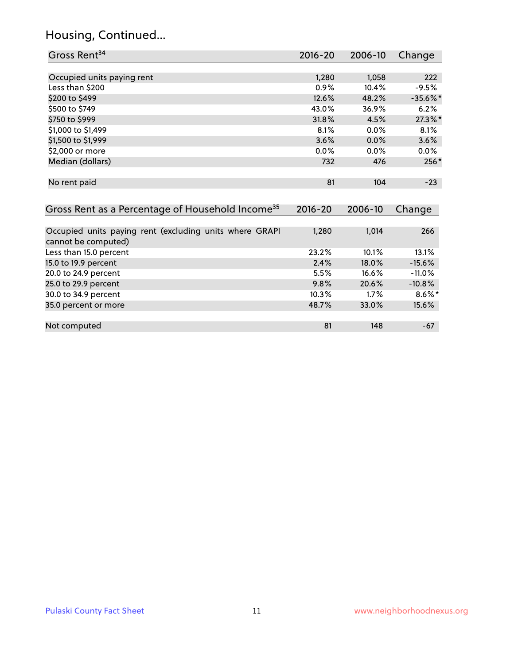# Housing, Continued...

| Gross Rent <sup>34</sup>                                     | 2016-20     | 2006-10 | Change        |
|--------------------------------------------------------------|-------------|---------|---------------|
|                                                              |             |         |               |
| Occupied units paying rent                                   | 1,280       | 1,058   | 222           |
| Less than \$200                                              | $0.9\%$     | 10.4%   | $-9.5%$       |
| \$200 to \$499                                               | 12.6%       | 48.2%   | $-35.6\%$ *   |
| \$500 to \$749                                               | 43.0%       | 36.9%   | 6.2%          |
| \$750 to \$999                                               | 31.8%       | 4.5%    | 27.3%*        |
| \$1,000 to \$1,499                                           | 8.1%        | $0.0\%$ | 8.1%          |
| \$1,500 to \$1,999                                           | 3.6%        | 0.0%    | 3.6%          |
| \$2,000 or more                                              | $0.0\%$     | $0.0\%$ | $0.0\%$       |
| Median (dollars)                                             | 732         | 476     | $256*$        |
| No rent paid                                                 | 81          | 104     | $-23$         |
|                                                              |             |         |               |
| Gross Rent as a Percentage of Household Income <sup>35</sup> | $2016 - 20$ | 2006-10 | Change        |
| Occupied units noving neat (evaluation units uppens ODAD)    | 1.200       | 1.011   | $\sim$ $\sim$ |

| Occupied units paying rent (excluding units where GRAPI | 1,280 | 1.014    | 266       |
|---------------------------------------------------------|-------|----------|-----------|
| cannot be computed)                                     |       |          |           |
| Less than 15.0 percent                                  | 23.2% | 10.1%    | 13.1%     |
| 15.0 to 19.9 percent                                    | 2.4%  | $18.0\%$ | $-15.6%$  |
| 20.0 to 24.9 percent                                    | 5.5%  | 16.6%    | $-11.0%$  |
| 25.0 to 29.9 percent                                    | 9.8%  | 20.6%    | $-10.8%$  |
| 30.0 to 34.9 percent                                    | 10.3% | $1.7\%$  | $8.6\%$ * |
| 35.0 percent or more                                    | 48.7% | 33.0%    | 15.6%     |
|                                                         |       |          |           |
| Not computed                                            | 81    | 148      | $-67$     |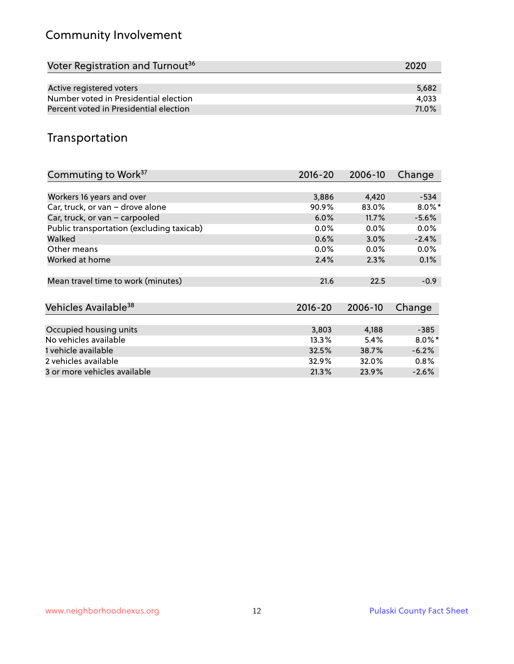# Community Involvement

| Voter Registration and Turnout <sup>36</sup> |       |  |  |  |  |
|----------------------------------------------|-------|--|--|--|--|
|                                              |       |  |  |  |  |
| Active registered voters                     | 5.682 |  |  |  |  |
| Number voted in Presidential election        | 4.033 |  |  |  |  |
| Percent voted in Presidential election       | 71.0% |  |  |  |  |

## Transportation

| Commuting to Work <sup>37</sup>           | 2016-20     | 2006-10 | Change    |
|-------------------------------------------|-------------|---------|-----------|
|                                           |             |         |           |
| Workers 16 years and over                 | 3,886       | 4,420   | $-534$    |
| Car, truck, or van - drove alone          | 90.9%       | 83.0%   | $8.0\%$ * |
| Car, truck, or van - carpooled            | 6.0%        | 11.7%   | $-5.6%$   |
| Public transportation (excluding taxicab) | $0.0\%$     | $0.0\%$ | $0.0\%$   |
| Walked                                    | 0.6%        | 3.0%    | $-2.4%$   |
| Other means                               | $0.0\%$     | $0.0\%$ | 0.0%      |
| Worked at home                            | 2.4%        | 2.3%    | 0.1%      |
|                                           |             |         |           |
| Mean travel time to work (minutes)        | 21.6        | 22.5    | $-0.9$    |
|                                           |             |         |           |
| Vehicles Available <sup>38</sup>          | $2016 - 20$ | 2006-10 | Change    |
|                                           |             |         |           |
| Occupied housing units                    | 3,803       | 4,188   | $-385$    |
| No vehicles available                     | 13.3%       | 5.4%    | $8.0\%$ * |
| 1 vehicle available                       | 32.5%       | 38.7%   | $-6.2%$   |
| 2 vehicles available                      | 32.9%       | 32.0%   | $0.8\%$   |
| 3 or more vehicles available              | 21.3%       | 23.9%   | $-2.6%$   |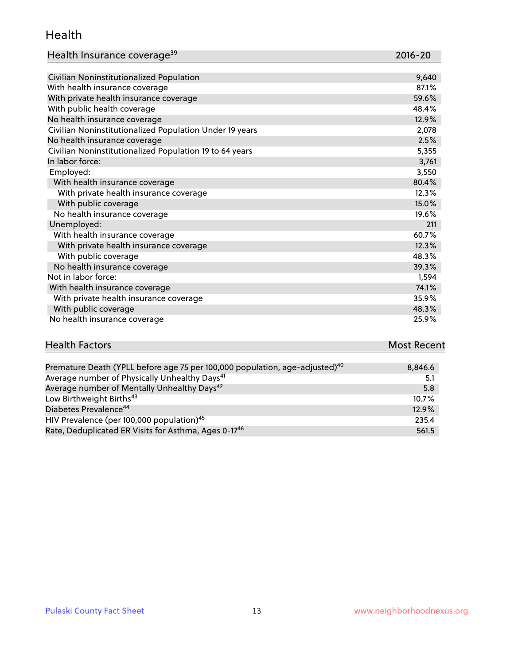#### Health

| Health Insurance coverage <sup>39</sup> | 2016-20 |
|-----------------------------------------|---------|
|-----------------------------------------|---------|

| Civilian Noninstitutionalized Population                | 9,640 |
|---------------------------------------------------------|-------|
| With health insurance coverage                          | 87.1% |
| With private health insurance coverage                  | 59.6% |
| With public health coverage                             | 48.4% |
| No health insurance coverage                            | 12.9% |
| Civilian Noninstitutionalized Population Under 19 years | 2,078 |
| No health insurance coverage                            | 2.5%  |
| Civilian Noninstitutionalized Population 19 to 64 years | 5,355 |
| In labor force:                                         | 3,761 |
| Employed:                                               | 3,550 |
| With health insurance coverage                          | 80.4% |
| With private health insurance coverage                  | 12.3% |
| With public coverage                                    | 15.0% |
| No health insurance coverage                            | 19.6% |
| Unemployed:                                             | 211   |
| With health insurance coverage                          | 60.7% |
| With private health insurance coverage                  | 12.3% |
| With public coverage                                    | 48.3% |
| No health insurance coverage                            | 39.3% |
| Not in labor force:                                     | 1,594 |
| With health insurance coverage                          | 74.1% |
| With private health insurance coverage                  | 35.9% |
| With public coverage                                    | 48.3% |
| No health insurance coverage                            | 25.9% |

| <b>Health Factors</b> |               |  |  |          | <b>Most Recent</b>                                                                                              |
|-----------------------|---------------|--|--|----------|-----------------------------------------------------------------------------------------------------------------|
|                       |               |  |  |          |                                                                                                                 |
|                       | _____________ |  |  | $\cdots$ | the contract of the contract of the contract of the contract of the contract of the contract of the contract of |

| Premature Death (YPLL before age 75 per 100,000 population, age-adjusted) <sup>40</sup> | 8,846.6 |
|-----------------------------------------------------------------------------------------|---------|
| Average number of Physically Unhealthy Days <sup>41</sup>                               | 5.1     |
| Average number of Mentally Unhealthy Days <sup>42</sup>                                 | 5.8     |
| Low Birthweight Births <sup>43</sup>                                                    | 10.7%   |
| Diabetes Prevalence <sup>44</sup>                                                       | 12.9%   |
| HIV Prevalence (per 100,000 population) <sup>45</sup>                                   | 235.4   |
| Rate, Deduplicated ER Visits for Asthma, Ages 0-17 <sup>46</sup>                        | 561.5   |